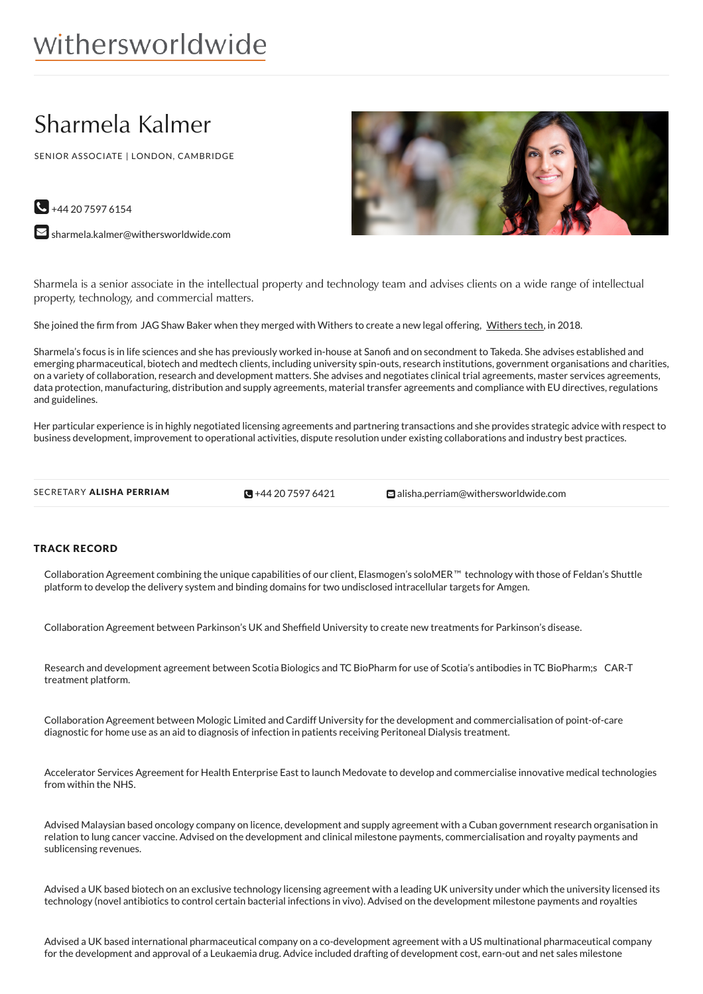# Sharmela Kalmer

SENIOR ASSOCIATE | LONDON, CAMBRIDGE



 $\bigodot$  +44 20 7597 6154

 $\blacktriangleright$  [sharmela.kalmer@withersworldwide.com](mailto:sharmela.kalmer@withersworldwide.com?subject=Website Enquiry - Profile Page)

Sharmela is a senior associate in the intellectual property and technology team and advises clients on a wide range of intellectual property, technology, and commercial matters.

She joined the firm from JAG Shaw Baker when they merged with [Withers](https://www.withersworldwide.com/en-gb/withers-and-jag-shaw-baker-create-withers-tech) to create a new legal offering, Withers tech, in 2018.

Sharmela's focus is in life sciences and she has previously worked in-house at Sanofi and on secondment to Takeda. She advises established and emerging pharmaceutical, biotech and medtech clients, including university spin-outs, research institutions, government organisations and charities, on a variety of collaboration, research and development matters. She advises and negotiates clinical trial agreements, master services agreements, data protection, manufacturing, distribution and supply agreements, material transfer agreements and compliance with EU directives, regulations and guidelines.

Her particular experience is in highly negotiated licensing agreements and partnering transactions and she provides strategic advice with respect to business development, improvement to operational activities, dispute resolution under existing collaborations and industry best practices.

 $\bigotimes$  +44 20 7597 6421

SECRETARY ALISHA PERRIAM  $\bigcirc$ +44 20 [7597](tel:+44 20 7597 6421) 6421 [alisha.perriam@withersworldwide.com](mailto:alisha.perriam@withersworldwide.com)

#### TRACK RECORD

Collaboration Agreement combining the unique capabilities of our client, Elasmogen's soloMER™ technology with those of Feldan's Shuttle platform to develop the delivery system and binding domains for two undisclosed intracellular targets for Amgen.

Collaboration Agreement between Parkinson's UK and Sheffield University to create new treatments for Parkinson's disease.

Research and development agreement between Scotia Biologics and TC BioPharm for use of Scotia's antibodies in TC BioPharm;s CAR-T treatment platform.

Collaboration Agreement between Mologic Limited and Cardiff University for the development and commercialisation of point-of-care diagnostic for home use as an aid to diagnosis of infection in patients receiving Peritoneal Dialysis treatment.

Accelerator Services Agreement for Health Enterprise East to launch Medovate to develop and commercialise innovative medical technologies from within the NHS.

Advised Malaysian based oncology company on licence, development and supply agreement with a Cuban government research organisation in relation to lung cancer vaccine. Advised on the development and clinical milestone payments, commercialisation and royalty payments and sublicensing revenues.

Advised a UK based biotech on an exclusive technology licensing agreement with a leading UK university under which the university licensed its technology (novel antibiotics to control certain bacterial infections in vivo). Advised on the development milestone payments and royalties

Advised a UK based international pharmaceutical company on a co-development agreement with a US multinational pharmaceutical company for the development and approval of a Leukaemia drug. Advice included drafting of development cost, earn-out and net sales milestone